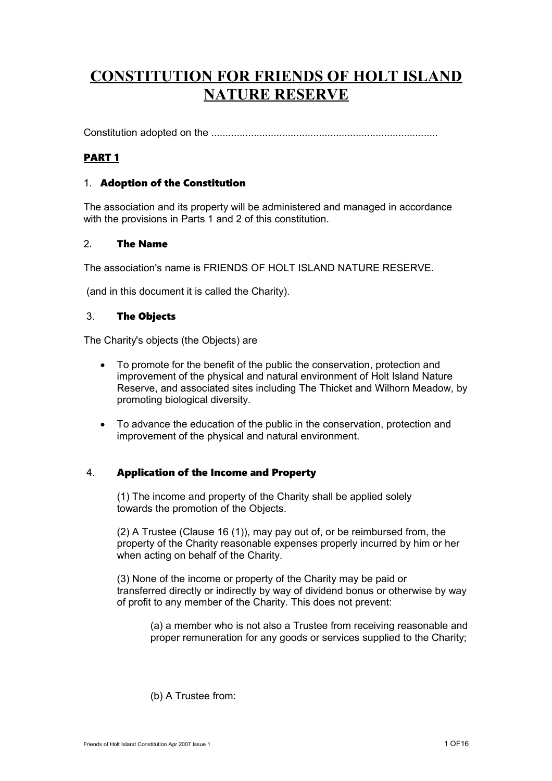# **CONSTITUTION FOR FRIENDS OF HOLT ISLAND NATURE RESERVE**

Constitution adopted on the ................................................................................

## PART 1

## 1. Adoption of the Constitution

The association and its property will be administered and managed in accordance with the provisions in Parts 1 and 2 of this constitution.

## 2. The Name

The association's name is FRIENDS OF HOLT ISLAND NATURE RESERVE.

(and in this document it is called the Charity).

## 3. The Objects

The Charity's objects (the Objects) are

- To promote for the benefit of the public the conservation, protection and improvement of the physical and natural environment of Holt Island Nature Reserve, and associated sites including The Thicket and Wilhorn Meadow, by promoting biological diversity.
- To advance the education of the public in the conservation, protection and improvement of the physical and natural environment.

## 4. Application of the Income and Property

(1) The income and property of the Charity shall be applied solely towards the promotion of the Objects.

(2) A Trustee (Clause 16 (1)), may pay out of, or be reimbursed from, the property of the Charity reasonable expenses properly incurred by him or her when acting on behalf of the Charity.

(3) None of the income or property of the Charity may be paid or transferred directly or indirectly by way of dividend bonus or otherwise by way of profit to any member of the Charity. This does not prevent:

(a) a member who is not also a Trustee from receiving reasonable and proper remuneration for any goods or services supplied to the Charity;

(b) A Trustee from: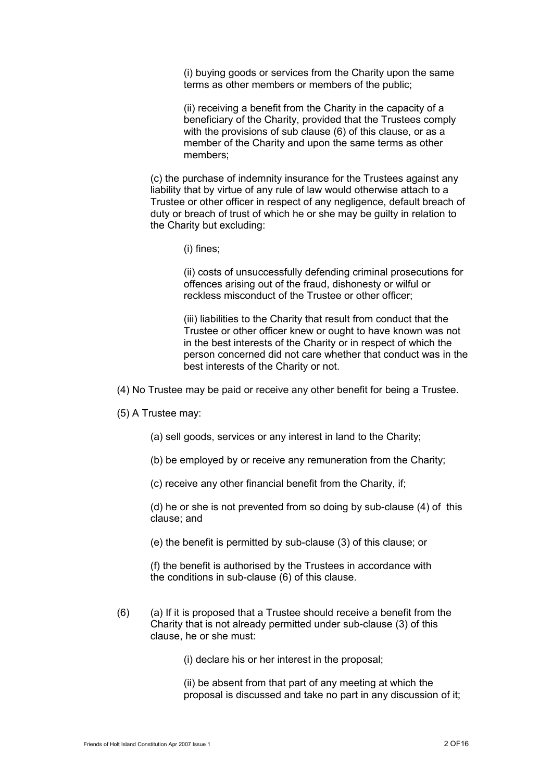(i) buying goods or services from the Charity upon the same terms as other members or members of the public;

(ii) receiving a benefit from the Charity in the capacity of a beneficiary of the Charity, provided that the Trustees comply with the provisions of sub clause (6) of this clause, or as a member of the Charity and upon the same terms as other members;

(c) the purchase of indemnity insurance for the Trustees against any liability that by virtue of any rule of law would otherwise attach to a Trustee or other officer in respect of any negligence, default breach of duty or breach of trust of which he or she may be guilty in relation to the Charity but excluding:

(i) fines;

(ii) costs of unsuccessfully defending criminal prosecutions for offences arising out of the fraud, dishonesty or wilful or reckless misconduct of the Trustee or other officer;

(iii) liabilities to the Charity that result from conduct that the Trustee or other officer knew or ought to have known was not in the best interests of the Charity or in respect of which the person concerned did not care whether that conduct was in the best interests of the Charity or not.

(4) No Trustee may be paid or receive any other benefit for being a Trustee.

(5) A Trustee may:

(a) sell goods, services or any interest in land to the Charity;

(b) be employed by or receive any remuneration from the Charity;

(c) receive any other financial benefit from the Charity, if;

(d) he or she is not prevented from so doing by sub-clause (4) of this clause; and

(e) the benefit is permitted by sub-clause (3) of this clause; or

(f) the benefit is authorised by the Trustees in accordance with the conditions in sub-clause (6) of this clause.

 $(6)$  (a) If it is proposed that a Trustee should receive a benefit from the Charity that is not already permitted under sub-clause (3) of this clause, he or she must:

(i) declare his or her interest in the proposal;

(ii) be absent from that part of any meeting at which the proposal is discussed and take no part in any discussion of it;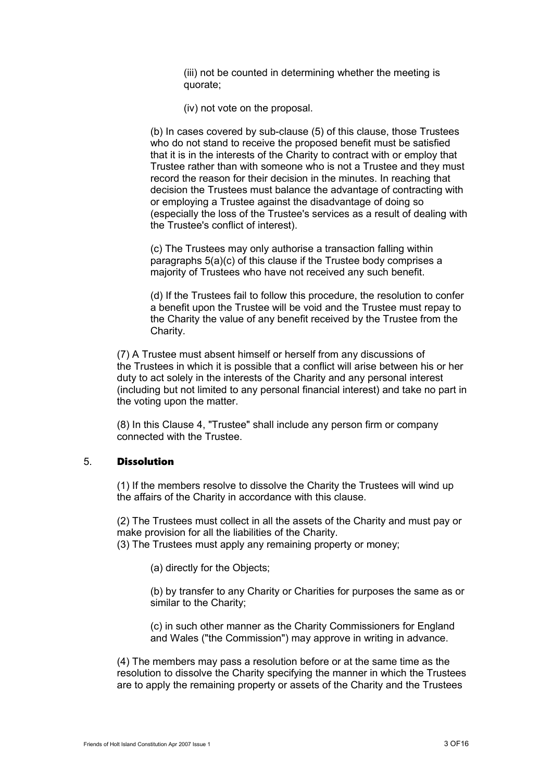(iii) not be counted in determining whether the meeting is quorate;

(iv) not vote on the proposal.

(b) In cases covered by sub-clause (5) of this clause, those Trustees who do not stand to receive the proposed benefit must be satisfied that it is in the interests of the Charity to contract with or employ that Trustee rather than with someone who is not a Trustee and they must record the reason for their decision in the minutes. In reaching that decision the Trustees must balance the advantage of contracting with or employing a Trustee against the disadvantage of doing so (especially the loss of the Trustee's services as a result of dealing with the Trustee's conflict of interest).

(c) The Trustees may only authorise a transaction falling within paragraphs 5(a)(c) of this clause if the Trustee body comprises a majority of Trustees who have not received any such benefit.

(d) If the Trustees fail to follow this procedure, the resolution to confer a benefit upon the Trustee will be void and the Trustee must repay to the Charity the value of any benefit received by the Trustee from the Charity.

(7) A Trustee must absent himself or herself from any discussions of the Trustees in which it is possible that a conflict will arise between his or her duty to act solely in the interests of the Charity and any personal interest (including but not limited to any personal financial interest) and take no part in the voting upon the matter.

(8) In this Clause 4, "Trustee" shall include any person firm or company connected with the Trustee.

## 5. Dissolution

(1) If the members resolve to dissolve the Charity the Trustees will wind up the affairs of the Charity in accordance with this clause.

(2) The Trustees must collect in all the assets of the Charity and must pay or make provision for all the liabilities of the Charity.

(3) The Trustees must apply any remaining property or money;

(a) directly for the Objects;

(b) by transfer to any Charity or Charities for purposes the same as or similar to the Charity;

(c) in such other manner as the Charity Commissioners for England and Wales ("the Commission") may approve in writing in advance.

(4) The members may pass a resolution before or at the same time as the resolution to dissolve the Charity specifying the manner in which the Trustees are to apply the remaining property or assets of the Charity and the Trustees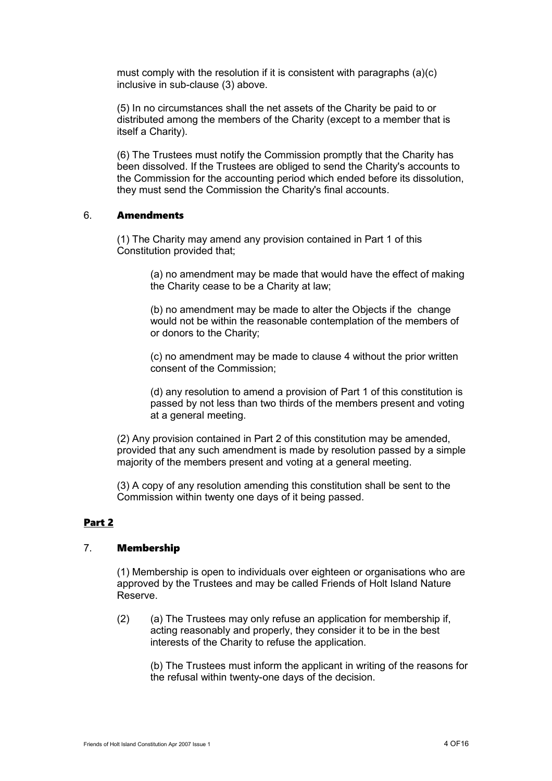must comply with the resolution if it is consistent with paragraphs (a)(c) inclusive in sub-clause (3) above.

(5) In no circumstances shall the net assets of the Charity be paid to or distributed among the members of the Charity (except to a member that is itself a Charity).

(6) The Trustees must notify the Commission promptly that the Charity has been dissolved. If the Trustees are obliged to send the Charity's accounts to the Commission for the accounting period which ended before its dissolution, they must send the Commission the Charity's final accounts.

#### 6. Amendments

(1) The Charity may amend any provision contained in Part 1 of this Constitution provided that;

> (a) no amendment may be made that would have the effect of making the Charity cease to be a Charity at law;

(b) no amendment may be made to alter the Objects if the change would not be within the reasonable contemplation of the members of or donors to the Charity;

(c) no amendment may be made to clause 4 without the prior written consent of the Commission;

(d) any resolution to amend a provision of Part 1 of this constitution is passed by not less than two thirds of the members present and voting at a general meeting.

(2) Any provision contained in Part 2 of this constitution may be amended, provided that any such amendment is made by resolution passed by a simple majority of the members present and voting at a general meeting.

(3) A copy of any resolution amending this constitution shall be sent to the Commission within twenty one days of it being passed.

## Part 2

## 7. Membership

(1) Membership is open to individuals over eighteen or organisations who are approved by the Trustees and may be called Friends of Holt Island Nature Reserve.

(2) (a) The Trustees may only refuse an application for membership if, acting reasonably and properly, they consider it to be in the best interests of the Charity to refuse the application.

(b) The Trustees must inform the applicant in writing of the reasons for the refusal within twenty-one days of the decision.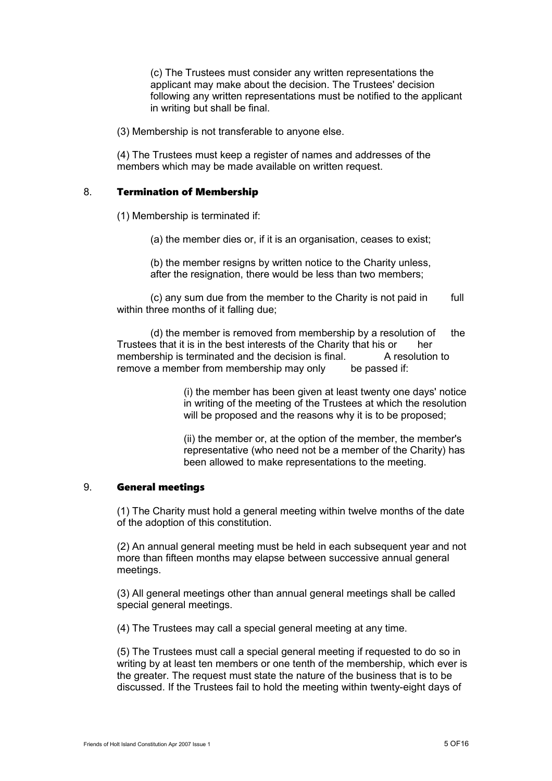(c) The Trustees must consider any written representations the applicant may make about the decision. The Trustees' decision following any written representations must be notified to the applicant in writing but shall be final.

(3) Membership is not transferable to anyone else.

(4) The Trustees must keep a register of names and addresses of the members which may be made available on written request.

#### 8. Termination of Membership

(1) Membership is terminated if:

(a) the member dies or, if it is an organisation, ceases to exist;

(b) the member resigns by written notice to the Charity unless, after the resignation, there would be less than two members;

(c) any sum due from the member to the Charity is not paid in full within three months of it falling due;

 $(d)$  the member is removed from membership by a resolution of the Trustees that it is in the best interests of the Charity that his or her membership is terminated and the decision is final. A resolution to remove a member from membership may only be passed if:

> (i) the member has been given at least twenty one days' notice in writing of the meeting of the Trustees at which the resolution will be proposed and the reasons why it is to be proposed;

> (ii) the member or, at the option of the member, the member's representative (who need not be a member of the Charity) has been allowed to make representations to the meeting.

#### 9. General meetings

(1) The Charity must hold a general meeting within twelve months of the date of the adoption of this constitution.

(2) An annual general meeting must be held in each subsequent year and not more than fifteen months may elapse between successive annual general meetings.

(3) All general meetings other than annual general meetings shall be called special general meetings.

(4) The Trustees may call a special general meeting at any time.

(5) The Trustees must call a special general meeting if requested to do so in writing by at least ten members or one tenth of the membership, which ever is the greater. The request must state the nature of the business that is to be discussed. If the Trustees fail to hold the meeting within twenty-eight days of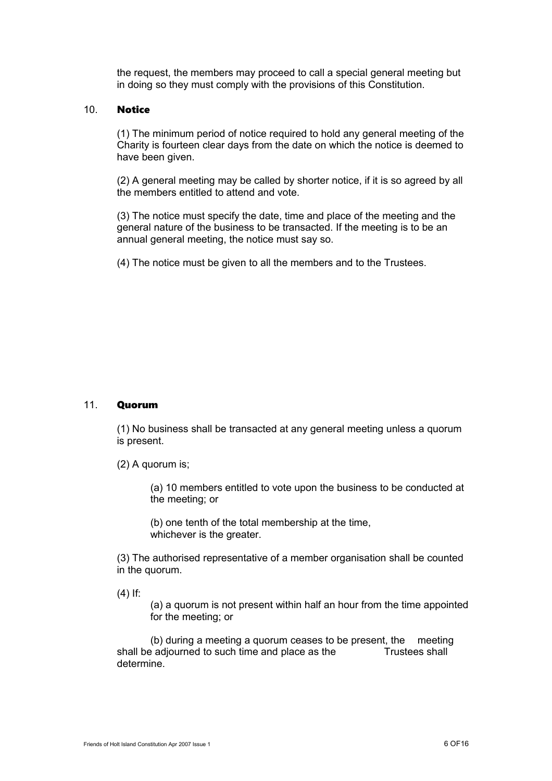the request, the members may proceed to call a special general meeting but in doing so they must comply with the provisions of this Constitution.

#### 10. Notice

(1) The minimum period of notice required to hold any general meeting of the Charity is fourteen clear days from the date on which the notice is deemed to have been given.

(2) A general meeting may be called by shorter notice, if it is so agreed by all the members entitled to attend and vote.

(3) The notice must specify the date, time and place of the meeting and the general nature of the business to be transacted. If the meeting is to be an annual general meeting, the notice must say so.

(4) The notice must be given to all the members and to the Trustees.

## 11. Quorum

(1) No business shall be transacted at any general meeting unless a quorum is present.

(2) A quorum is;

(a) 10 members entitled to vote upon the business to be conducted at the meeting; or

(b) one tenth of the total membership at the time, whichever is the greater.

(3) The authorised representative of a member organisation shall be counted in the quorum.

(4) If:

(a) a quorum is not present within half an hour from the time appointed for the meeting; or

(b) during a meeting a quorum ceases to be present, the meeting shall be adjourned to such time and place as the Trustees shall determine.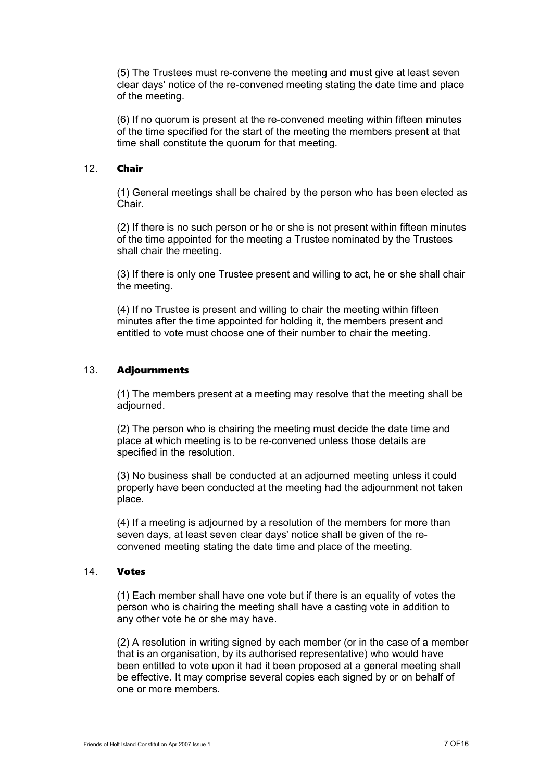(5) The Trustees must re-convene the meeting and must give at least seven clear days' notice of the re-convened meeting stating the date time and place of the meeting.

(6) If no quorum is present at the re-convened meeting within fifteen minutes of the time specified for the start of the meeting the members present at that time shall constitute the quorum for that meeting.

## 12. Chair

(1) General meetings shall be chaired by the person who has been elected as Chair.

(2) If there is no such person or he or she is not present within fifteen minutes of the time appointed for the meeting a Trustee nominated by the Trustees shall chair the meeting.

(3) If there is only one Trustee present and willing to act, he or she shall chair the meeting.

(4) If no Trustee is present and willing to chair the meeting within fifteen minutes after the time appointed for holding it, the members present and entitled to vote must choose one of their number to chair the meeting.

#### 13. Adjournments

(1) The members present at a meeting may resolve that the meeting shall be adjourned.

(2) The person who is chairing the meeting must decide the date time and place at which meeting is to be re-convened unless those details are specified in the resolution.

(3) No business shall be conducted at an adjourned meeting unless it could properly have been conducted at the meeting had the adjournment not taken place.

(4) If a meeting is adjourned by a resolution of the members for more than seven days, at least seven clear days' notice shall be given of the reconvened meeting stating the date time and place of the meeting.

#### 14. Votes

(1) Each member shall have one vote but if there is an equality of votes the person who is chairing the meeting shall have a casting vote in addition to any other vote he or she may have.

(2) A resolution in writing signed by each member (or in the case of a member that is an organisation, by its authorised representative) who would have been entitled to vote upon it had it been proposed at a general meeting shall be effective. It may comprise several copies each signed by or on behalf of one or more members.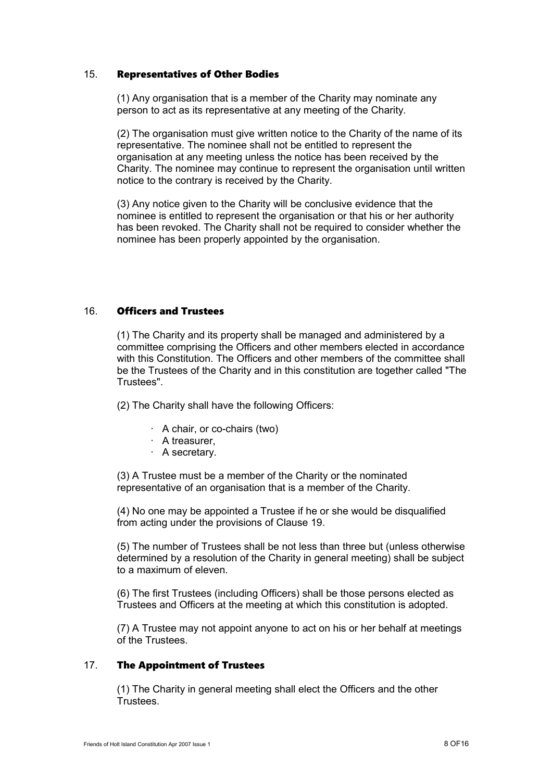#### 15. Representatives of Other Bodies

(1) Any organisation that is a member of the Charity may nominate any person to act as its representative at any meeting of the Charity.

(2) The organisation must give written notice to the Charity of the name of its representative. The nominee shall not be entitled to represent the organisation at any meeting unless the notice has been received by the Charity. The nominee may continue to represent the organisation until written notice to the contrary is received by the Charity.

(3) Any notice given to the Charity will be conclusive evidence that the nominee is entitled to represent the organisation or that his or her authority has been revoked. The Charity shall not be required to consider whether the nominee has been properly appointed by the organisation.

## 16. Officers and Trustees

(1) The Charity and its property shall be managed and administered by a committee comprising the Officers and other members elected in accordance with this Constitution. The Officers and other members of the committee shall be the Trustees of the Charity and in this constitution are together called "The Trustees".

(2) The Charity shall have the following Officers:

- · A chair, or co-chairs (two)
- · A treasurer,
- · A secretary.

(3) A Trustee must be a member of the Charity or the nominated representative of an organisation that is a member of the Charity.

(4) No one may be appointed a Trustee if he or she would be disqualified from acting under the provisions of Clause 19.

(5) The number of Trustees shall be not less than three but (unless otherwise determined by a resolution of the Charity in general meeting) shall be subject to a maximum of eleven.

(6) The first Trustees (including Officers) shall be those persons elected as Trustees and Officers at the meeting at which this constitution is adopted.

(7) A Trustee may not appoint anyone to act on his or her behalf at meetings of the Trustees.

## 17. The Appointment of Trustees

(1) The Charity in general meeting shall elect the Officers and the other **Trustees**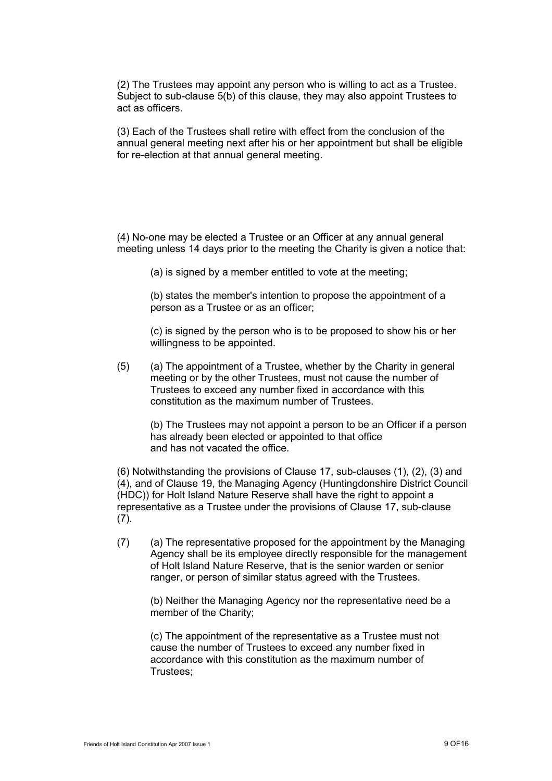(2) The Trustees may appoint any person who is willing to act as a Trustee. Subject to sub-clause 5(b) of this clause, they may also appoint Trustees to act as officers.

(3) Each of the Trustees shall retire with effect from the conclusion of the annual general meeting next after his or her appointment but shall be eligible for re-election at that annual general meeting.

(4) No-one may be elected a Trustee or an Officer at any annual general meeting unless 14 days prior to the meeting the Charity is given a notice that:

(a) is signed by a member entitled to vote at the meeting;

(b) states the member's intention to propose the appointment of a person as a Trustee or as an officer;

(c) is signed by the person who is to be proposed to show his or her willingness to be appointed.

(5) (a) The appointment of a Trustee, whether by the Charity in general meeting or by the other Trustees, must not cause the number of Trustees to exceed any number fixed in accordance with this constitution as the maximum number of Trustees.

(b) The Trustees may not appoint a person to be an Officer if a person has already been elected or appointed to that office and has not vacated the office.

(6) Notwithstanding the provisions of Clause 17, sub-clauses (1), (2), (3) and (4), and of Clause 19, the Managing Agency (Huntingdonshire District Council (HDC)) for Holt Island Nature Reserve shall have the right to appoint a representative as a Trustee under the provisions of Clause 17, sub-clause (7).

(7) (a) The representative proposed for the appointment by the Managing Agency shall be its employee directly responsible for the management of Holt Island Nature Reserve, that is the senior warden or senior ranger, or person of similar status agreed with the Trustees.

(b) Neither the Managing Agency nor the representative need be a member of the Charity;

(c) The appointment of the representative as a Trustee must not cause the number of Trustees to exceed any number fixed in accordance with this constitution as the maximum number of Trustees;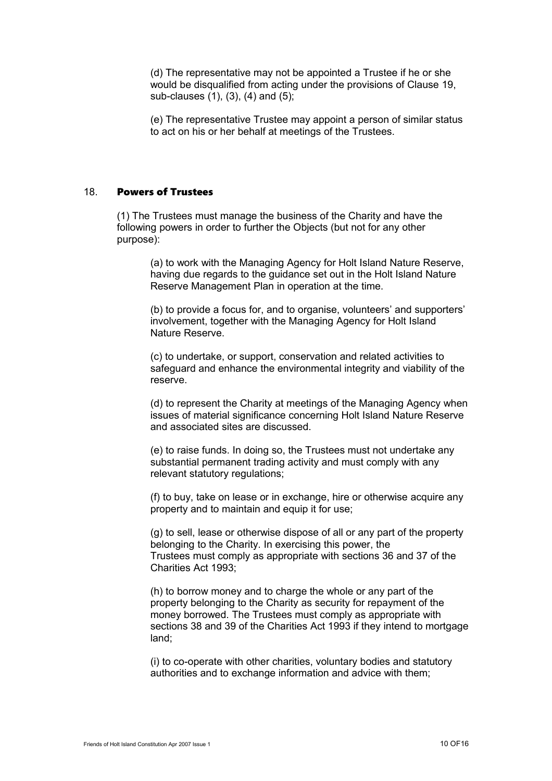(d) The representative may not be appointed a Trustee if he or she would be disqualified from acting under the provisions of Clause 19, sub-clauses (1), (3), (4) and (5);

(e) The representative Trustee may appoint a person of similar status to act on his or her behalf at meetings of the Trustees.

## 18. Powers of Trustees

(1) The Trustees must manage the business of the Charity and have the following powers in order to further the Objects (but not for any other purpose):

> (a) to work with the Managing Agency for Holt Island Nature Reserve, having due regards to the guidance set out in the Holt Island Nature Reserve Management Plan in operation at the time.

> (b) to provide a focus for, and to organise, volunteers' and supporters' involvement, together with the Managing Agency for Holt Island Nature Reserve.

> (c) to undertake, or support, conservation and related activities to safeguard and enhance the environmental integrity and viability of the reserve.

(d) to represent the Charity at meetings of the Managing Agency when issues of material significance concerning Holt Island Nature Reserve and associated sites are discussed.

(e) to raise funds. In doing so, the Trustees must not undertake any substantial permanent trading activity and must comply with any relevant statutory regulations;

(f) to buy, take on lease or in exchange, hire or otherwise acquire any property and to maintain and equip it for use;

(g) to sell, lease or otherwise dispose of all or any part of the property belonging to the Charity. In exercising this power, the Trustees must comply as appropriate with sections 36 and 37 of the Charities Act 1993;

(h) to borrow money and to charge the whole or any part of the property belonging to the Charity as security for repayment of the money borrowed. The Trustees must comply as appropriate with sections 38 and 39 of the Charities Act 1993 if they intend to mortgage land;

(i) to co-operate with other charities, voluntary bodies and statutory authorities and to exchange information and advice with them;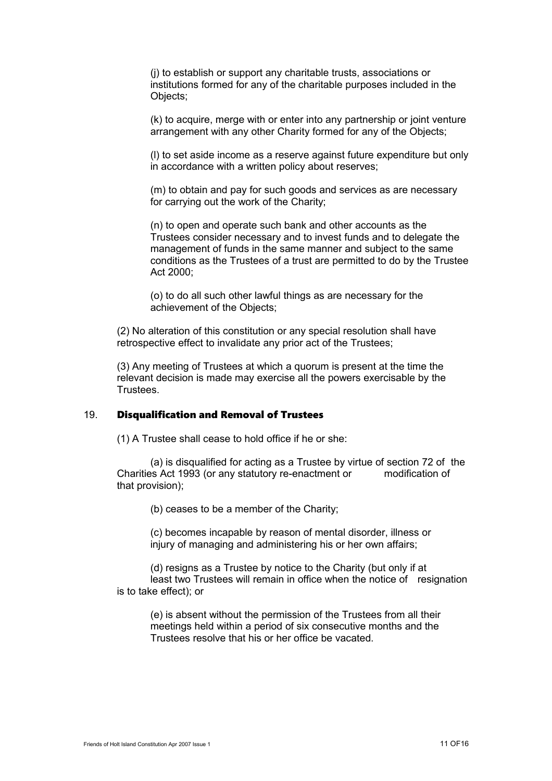(j) to establish or support any charitable trusts, associations or institutions formed for any of the charitable purposes included in the Objects;

(k) to acquire, merge with or enter into any partnership or joint venture arrangement with any other Charity formed for any of the Objects;

(l) to set aside income as a reserve against future expenditure but only in accordance with a written policy about reserves;

(m) to obtain and pay for such goods and services as are necessary for carrying out the work of the Charity;

(n) to open and operate such bank and other accounts as the Trustees consider necessary and to invest funds and to delegate the management of funds in the same manner and subject to the same conditions as the Trustees of a trust are permitted to do by the Trustee Act 2000;

(o) to do all such other lawful things as are necessary for the achievement of the Objects;

(2) No alteration of this constitution or any special resolution shall have retrospective effect to invalidate any prior act of the Trustees;

(3) Any meeting of Trustees at which a quorum is present at the time the relevant decision is made may exercise all the powers exercisable by the Trustees.

## 19. Disqualification and Removal of Trustees

(1) A Trustee shall cease to hold office if he or she:

(a) is disqualified for acting as a Trustee by virtue of section 72 of the Charities Act 1993 (or any statutory re-enactment or modification of that provision);

(b) ceases to be a member of the Charity;

(c) becomes incapable by reason of mental disorder, illness or injury of managing and administering his or her own affairs;

(d) resigns as a Trustee by notice to the Charity (but only if at least two Trustees will remain in office when the notice of resignation is to take effect); or

(e) is absent without the permission of the Trustees from all their meetings held within a period of six consecutive months and the Trustees resolve that his or her office be vacated.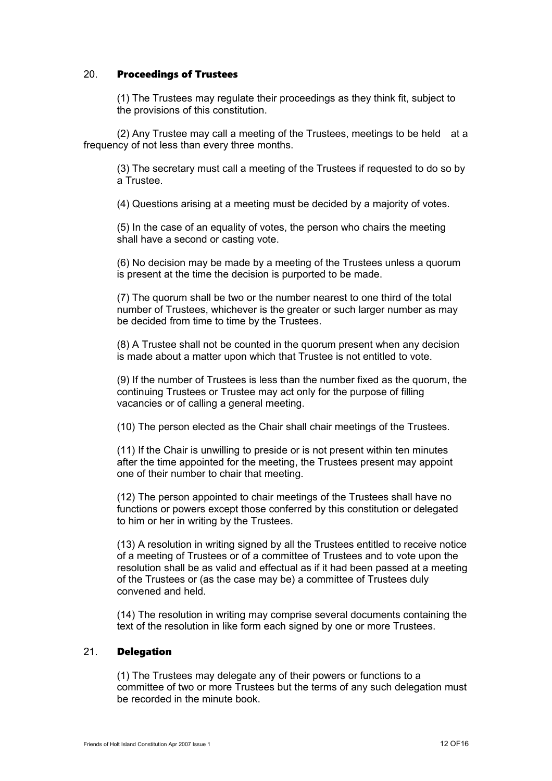## 20. Proceedings of Trustees

(1) The Trustees may regulate their proceedings as they think fit, subject to the provisions of this constitution.

(2) Any Trustee may call a meeting of the Trustees, meetings to be held at a frequency of not less than every three months.

(3) The secretary must call a meeting of the Trustees if requested to do so by a Trustee.

(4) Questions arising at a meeting must be decided by a majority of votes.

(5) In the case of an equality of votes, the person who chairs the meeting shall have a second or casting vote.

(6) No decision may be made by a meeting of the Trustees unless a quorum is present at the time the decision is purported to be made.

(7) The quorum shall be two or the number nearest to one third of the total number of Trustees, whichever is the greater or such larger number as may be decided from time to time by the Trustees.

(8) A Trustee shall not be counted in the quorum present when any decision is made about a matter upon which that Trustee is not entitled to vote.

(9) If the number of Trustees is less than the number fixed as the quorum, the continuing Trustees or Trustee may act only for the purpose of filling vacancies or of calling a general meeting.

(10) The person elected as the Chair shall chair meetings of the Trustees.

(11) If the Chair is unwilling to preside or is not present within ten minutes after the time appointed for the meeting, the Trustees present may appoint one of their number to chair that meeting.

(12) The person appointed to chair meetings of the Trustees shall have no functions or powers except those conferred by this constitution or delegated to him or her in writing by the Trustees.

(13) A resolution in writing signed by all the Trustees entitled to receive notice of a meeting of Trustees or of a committee of Trustees and to vote upon the resolution shall be as valid and effectual as if it had been passed at a meeting of the Trustees or (as the case may be) a committee of Trustees duly convened and held.

(14) The resolution in writing may comprise several documents containing the text of the resolution in like form each signed by one or more Trustees.

#### 21. Delegation

(1) The Trustees may delegate any of their powers or functions to a committee of two or more Trustees but the terms of any such delegation must be recorded in the minute book.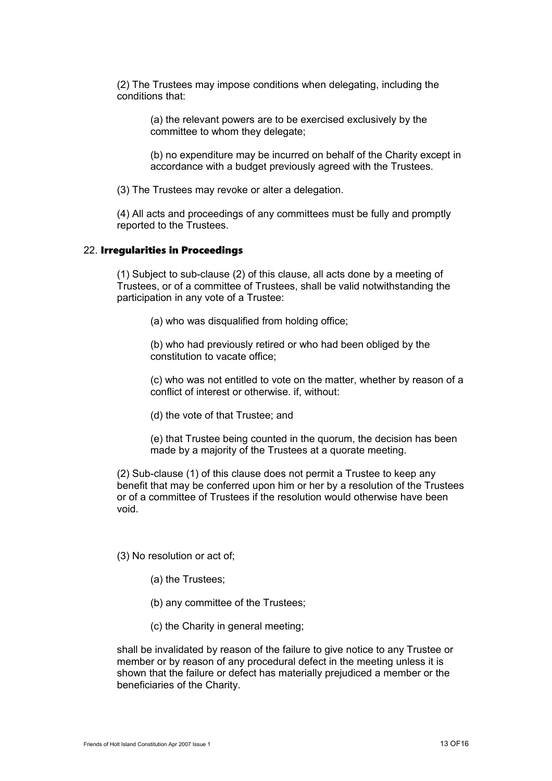(2) The Trustees may impose conditions when delegating, including the conditions that:

> (a) the relevant powers are to be exercised exclusively by the committee to whom they delegate;

(b) no expenditure may be incurred on behalf of the Charity except in accordance with a budget previously agreed with the Trustees.

(3) The Trustees may revoke or alter a delegation.

(4) All acts and proceedings of any committees must be fully and promptly reported to the Trustees.

#### 22. Irregularities in Proceedings

(1) Subject to sub-clause (2) of this clause, all acts done by a meeting of Trustees, or of a committee of Trustees, shall be valid notwithstanding the participation in any vote of a Trustee:

(a) who was disqualified from holding office;

(b) who had previously retired or who had been obliged by the constitution to vacate office;

(c) who was not entitled to vote on the matter, whether by reason of a conflict of interest or otherwise. if, without:

(d) the vote of that Trustee; and

(e) that Trustee being counted in the quorum, the decision has been made by a majority of the Trustees at a quorate meeting.

(2) Sub-clause (1) of this clause does not permit a Trustee to keep any benefit that may be conferred upon him or her by a resolution of the Trustees or of a committee of Trustees if the resolution would otherwise have been void.

(3) No resolution or act of;

- (a) the Trustees;
- (b) any committee of the Trustees;
- (c) the Charity in general meeting;

shall be invalidated by reason of the failure to give notice to any Trustee or member or by reason of any procedural defect in the meeting unless it is shown that the failure or defect has materially prejudiced a member or the beneficiaries of the Charity.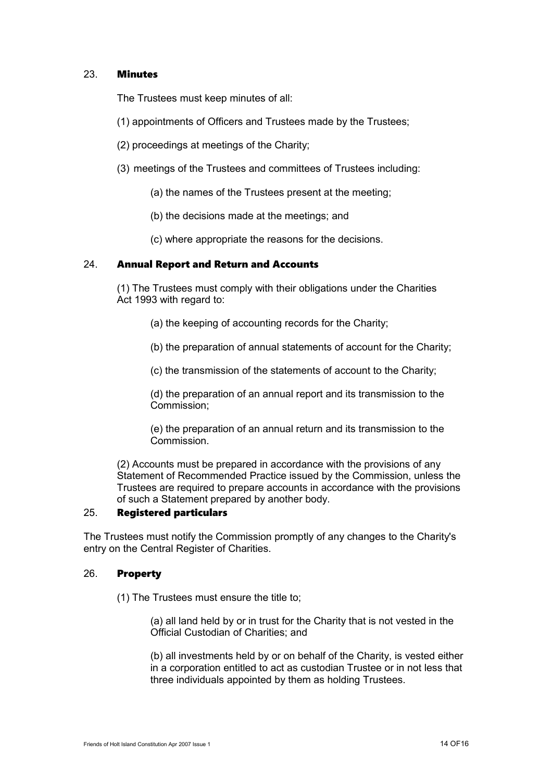## 23. Minutes

The Trustees must keep minutes of all:

- (1) appointments of Officers and Trustees made by the Trustees;
- (2) proceedings at meetings of the Charity;
- (3) meetings of the Trustees and committees of Trustees including:
	- (a) the names of the Trustees present at the meeting;
	- (b) the decisions made at the meetings; and
	- (c) where appropriate the reasons for the decisions.

#### 24. Annual Report and Return and Accounts

(1) The Trustees must comply with their obligations under the Charities Act 1993 with regard to:

- (a) the keeping of accounting records for the Charity;
- (b) the preparation of annual statements of account for the Charity;

(c) the transmission of the statements of account to the Charity;

(d) the preparation of an annual report and its transmission to the Commission;

(e) the preparation of an annual return and its transmission to the **Commission** 

(2) Accounts must be prepared in accordance with the provisions of any Statement of Recommended Practice issued by the Commission, unless the Trustees are required to prepare accounts in accordance with the provisions of such a Statement prepared by another body.

## 25. Registered particulars

The Trustees must notify the Commission promptly of any changes to the Charity's entry on the Central Register of Charities.

## 26. Property

(1) The Trustees must ensure the title to;

(a) all land held by or in trust for the Charity that is not vested in the Official Custodian of Charities; and

(b) all investments held by or on behalf of the Charity, is vested either in a corporation entitled to act as custodian Trustee or in not less that three individuals appointed by them as holding Trustees.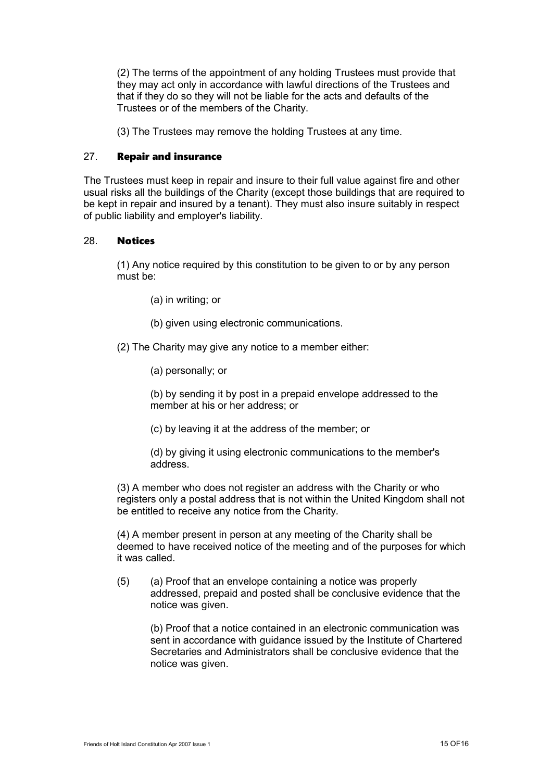(2) The terms of the appointment of any holding Trustees must provide that they may act only in accordance with lawful directions of the Trustees and that if they do so they will not be liable for the acts and defaults of the Trustees or of the members of the Charity.

(3) The Trustees may remove the holding Trustees at any time.

#### 27. Repair and insurance

The Trustees must keep in repair and insure to their full value against fire and other usual risks all the buildings of the Charity (except those buildings that are required to be kept in repair and insured by a tenant). They must also insure suitably in respect of public liability and employer's liability.

#### 28. Notices

(1) Any notice required by this constitution to be given to or by any person must be:

- (a) in writing; or
- (b) given using electronic communications.
- (2) The Charity may give any notice to a member either:
	- (a) personally; or

(b) by sending it by post in a prepaid envelope addressed to the member at his or her address; or

(c) by leaving it at the address of the member; or

(d) by giving it using electronic communications to the member's address.

(3) A member who does not register an address with the Charity or who registers only a postal address that is not within the United Kingdom shall not be entitled to receive any notice from the Charity.

(4) A member present in person at any meeting of the Charity shall be deemed to have received notice of the meeting and of the purposes for which it was called.

(5) (a) Proof that an envelope containing a notice was properly addressed, prepaid and posted shall be conclusive evidence that the notice was given.

(b) Proof that a notice contained in an electronic communication was sent in accordance with guidance issued by the Institute of Chartered Secretaries and Administrators shall be conclusive evidence that the notice was given.